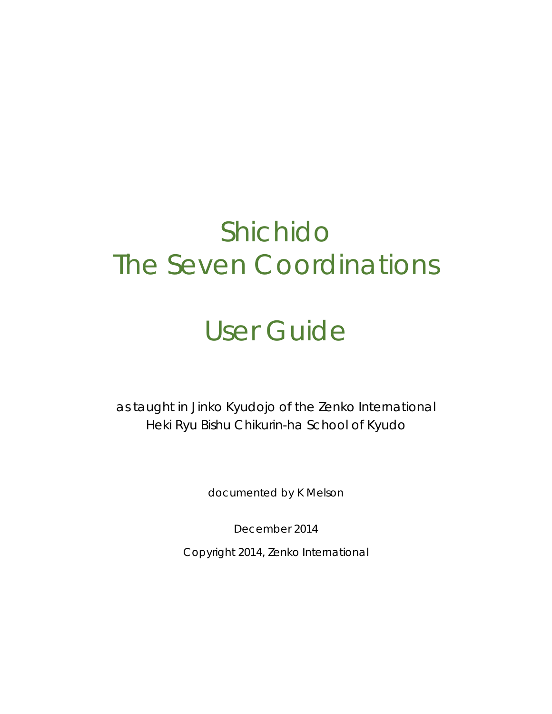# Shichido The Seven Coordinations

# User Guide

as taught in Jinko Kyudojo of the Zenko International Heki Ryu Bishu Chikurin-ha School of Kyudo

documented by K Melson

December 2014

Copyright 2014, Zenko International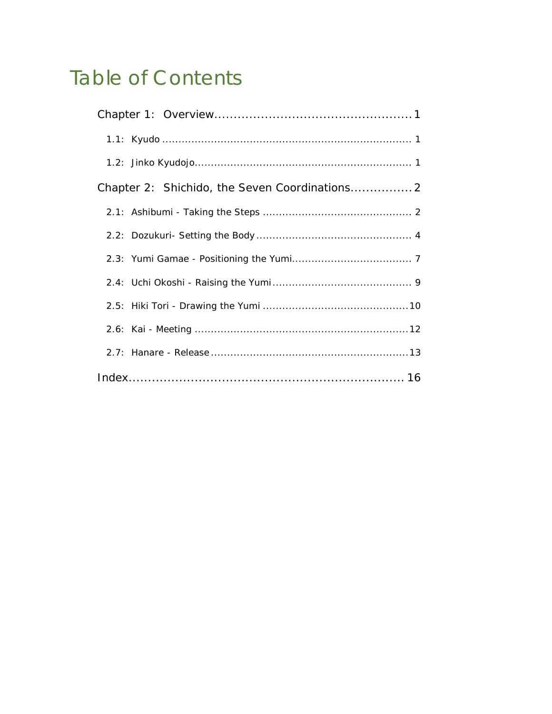## **Table of Contents**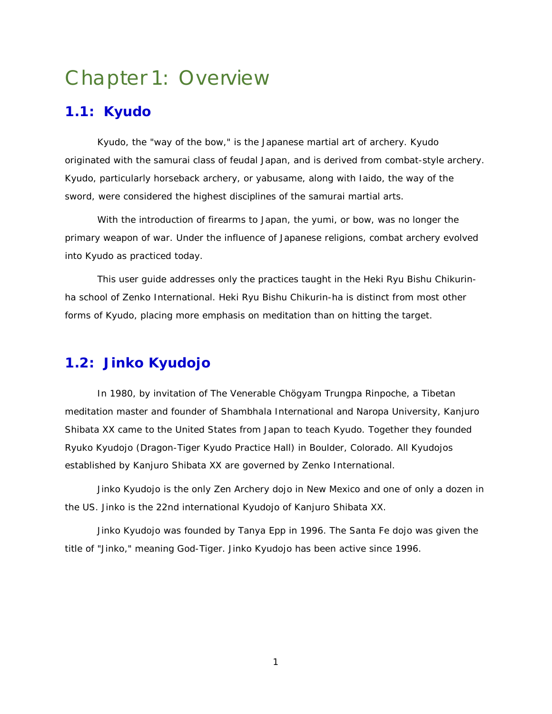## <span id="page-2-0"></span>Chapter 1: Overview

## <span id="page-2-1"></span>**1.1: Kyudo**

Kyudo, the "way of the bow," is the Japanese martial art of archery. Kyudo originated with the samurai class of feudal Japan, and is derived from combat-style archery. Kyudo, particularly horseback archery, or yabusame, along with Iaido, the way of the sword, were considered the highest disciplines of the samurai martial arts.

With the introduction of firearms to Japan, the yumi, or bow, was no longer the primary weapon of war. Under the influence of Japanese religions, combat archery evolved into Kyudo as practiced today.

This user guide addresses only the practices taught in the Heki Ryu Bishu Chikurinha school of Zenko International. Heki Ryu Bishu Chikurin-ha is distinct from most other forms of Kyudo, placing more emphasis on meditation than on hitting the target.

## <span id="page-2-2"></span>**1.2: Jinko Kyudojo**

In 1980, by invitation of The Venerable Chögyam Trungpa Rinpoche, a Tibetan meditation master and founder of Shambhala International and Naropa University, Kanjuro Shibata XX came to the United States from Japan to teach Kyudo. Together they founded Ryuko Kyudojo (Dragon-Tiger Kyudo Practice Hall) in Boulder, Colorado. All Kyudojos established by Kanjuro Shibata XX are governed by Zenko International.

Jinko Kyudojo is the only Zen Archery dojo in New Mexico and one of only a dozen in the US. Jinko is the 22nd international Kyudojo of Kanjuro Shibata XX.

Jinko Kyudojo was founded by Tanya Epp in 1996. The Santa Fe dojo was given the title of "Jinko," meaning God-Tiger. Jinko Kyudojo has been active since 1996.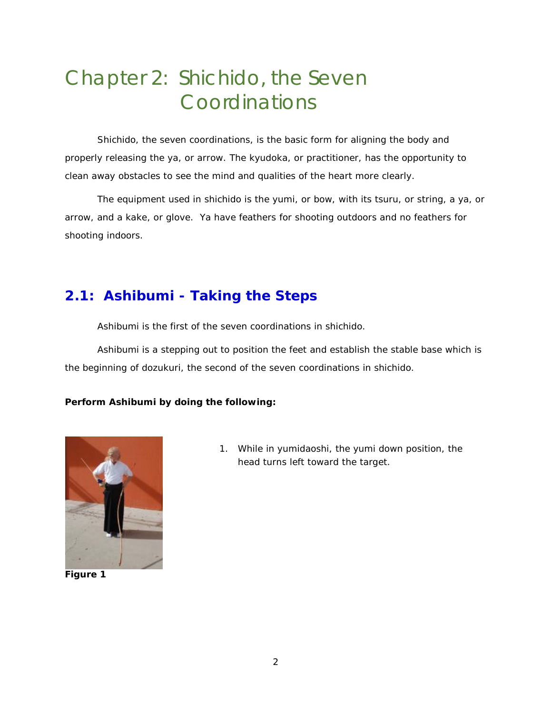## <span id="page-3-0"></span>Chapter 2: Shichido, the Seven Coordinations

Shichido, the seven coordinations, is the basic form for aligning the body and properly releasing the ya, or arrow. The kyudoka, or practitioner, has the opportunity to clean away obstacles to see the mind and qualities of the heart more clearly.

The equipment used in shichido is the yumi, or bow, with its tsuru, or string, a ya, or arrow, and a kake, or glove. Ya have feathers for shooting outdoors and no feathers for shooting indoors.

## <span id="page-3-1"></span>**2.1: Ashibumi - Taking the Steps**

Ashibumi is the first of the seven coordinations in shichido.

Ashibumi is a stepping out to position the feet and establish the stable base which is the beginning of dozukuri, the second of the seven coordinations in shichido.

#### **Perform Ashibumi by doing the following:**



**Figure 1**

1. While in yumidaoshi, the yumi down position, the head turns left toward the target.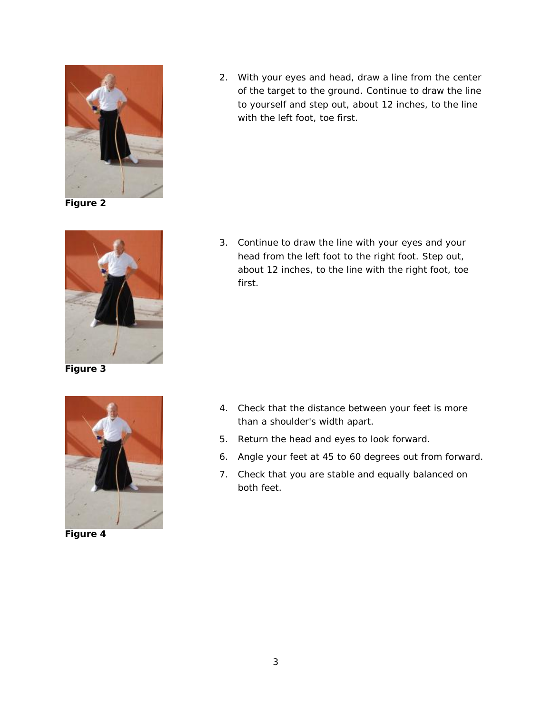

**Figure 2**



**Figure 3**

<span id="page-4-0"></span>

**Figure 4**

2. With your eyes and head, draw a line from the center of the target to the ground. Continue to draw the line to yourself and step out, about 12 inches, to the line with the left foot, toe first.

3. Continue to draw the line with your eyes and your head from the left foot to the right foot. Step out, about 12 inches, to the line with the right foot, toe first.

- 4. Check that the distance between your feet is more than a shoulder's width apart.
- 5. Return the head and eyes to look forward.
- 6. Angle your feet at 45 to 60 degrees out from forward.
- 7. Check that you are stable and equally balanced on both feet.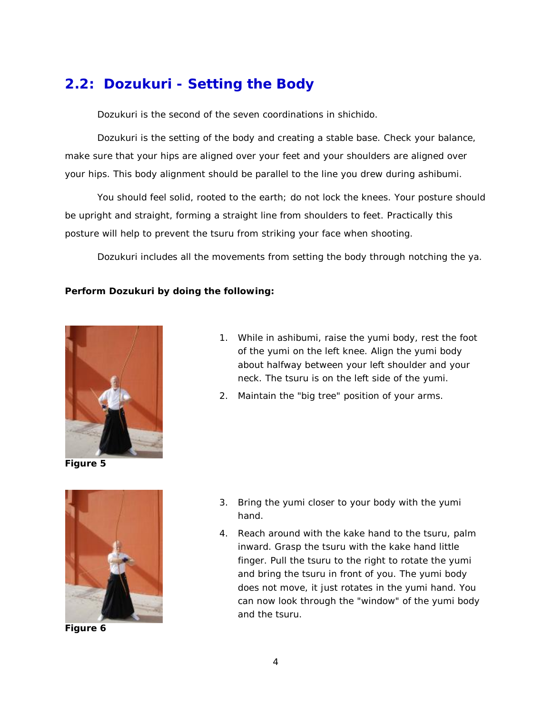## **2.2: Dozukuri - Setting the Body**

Dozukuri is the second of the seven coordinations in shichido.

Dozukuri is the setting of the body and creating a stable base. Check your balance, make sure that your hips are aligned over your feet and your shoulders are aligned over your hips. This body alignment should be parallel to the line you drew during ashibumi.

You should feel solid, rooted to the earth; do not lock the knees. Your posture should be upright and straight, forming a straight line from shoulders to feet. Practically this posture will help to prevent the tsuru from striking your face when shooting.

Dozukuri includes all the movements from setting the body through notching the ya.

#### **Perform Dozukuri by doing the following:**



**Figure 5**



**Figure 6**

- 1. While in ashibumi, raise the yumi body, rest the foot of the yumi on the left knee. Align the yumi body about halfway between your left shoulder and your neck. The tsuru is on the left side of the yumi.
- 2. Maintain the "big tree" position of your arms.

- 3. Bring the yumi closer to your body with the yumi hand.
- 4. Reach around with the kake hand to the tsuru, palm inward. Grasp the tsuru with the kake hand little finger. Pull the tsuru to the right to rotate the yumi and bring the tsuru in front of you. The yumi body does not move, it just rotates in the yumi hand. You can now look through the "window" of the yumi body and the tsuru.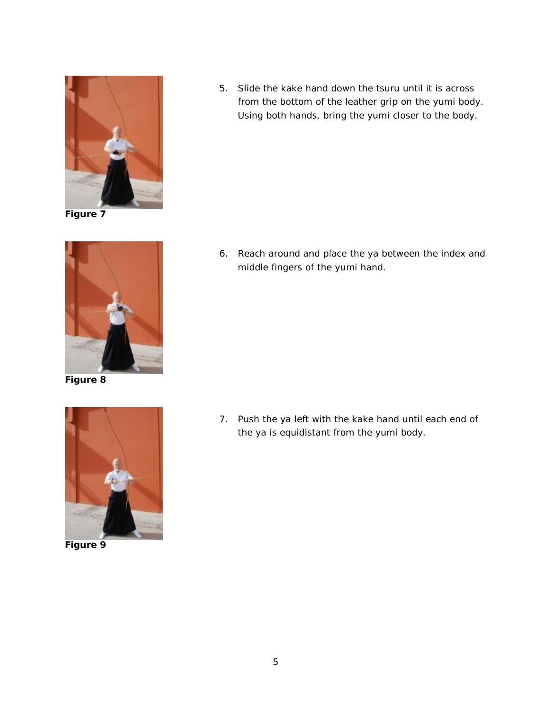

**Figure 7**



**Figure 8**



**Figure 9**

5. Slide the kake hand down the tsuru until it is across from the bottom of the leather grip on the yumi body. Using both hands, bring the yumi closer to the body.

6. Reach around and place the ya between the index and middle fingers of the yumi hand.

7. Push the ya left with the kake hand until each end of the ya is equidistant from the yumi body.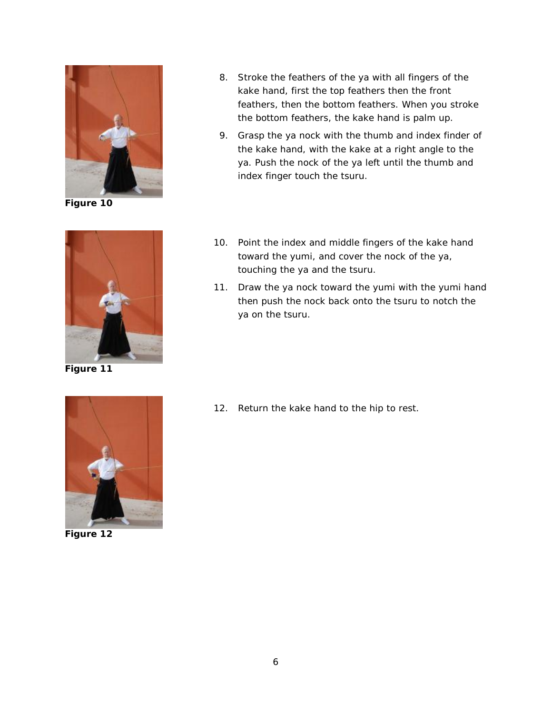

**Figure 10**



**Figure 11**

- 8. Stroke the feathers of the ya with all fingers of the kake hand, first the top feathers then the front feathers, then the bottom feathers. When you stroke the bottom feathers, the kake hand is palm up.
- 9. Grasp the ya nock with the thumb and index finder of the kake hand, with the kake at a right angle to the ya. Push the nock of the ya left until the thumb and index finger touch the tsuru.
- 10. Point the index and middle fingers of the kake hand toward the yumi, and cover the nock of the ya, touching the ya and the tsuru.
- 11. Draw the ya nock toward the yumi with the yumi hand then push the nock back onto the tsuru to notch the ya on the tsuru.

<span id="page-7-0"></span>

**Figure 12**

12. Return the kake hand to the hip to rest.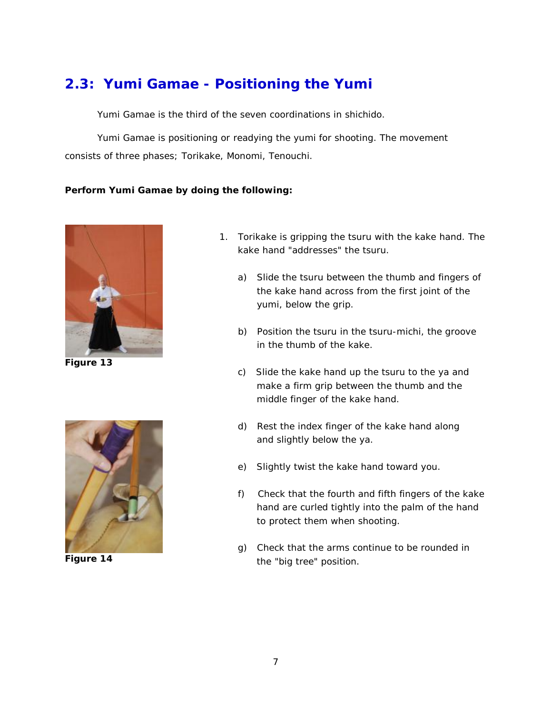## **2.3: Yumi Gamae - Positioning the Yumi**

Yumi Gamae is the third of the seven coordinations in shichido.

Yumi Gamae is positioning or readying the yumi for shooting. The movement consists of three phases; Torikake, Monomi, Tenouchi.

#### **Perform Yumi Gamae by doing the following:**



**Figure 13**



**Figure 14**

- 1. Torikake is gripping the tsuru with the kake hand. The kake hand "addresses" the tsuru.
	- a) Slide the tsuru between the thumb and fingers of the kake hand across from the first joint of the yumi, below the grip.
	- b) Position the tsuru in the tsuru-michi, the groove in the thumb of the kake.
	- c) Slide the kake hand up the tsuru to the ya and make a firm grip between the thumb and the middle finger of the kake hand.
	- d) Rest the index finger of the kake hand along and slightly below the ya.
	- e) Slightly twist the kake hand toward you.
	- f) Check that the fourth and fifth fingers of the kake hand are curled tightly into the palm of the hand to protect them when shooting.
	- g) Check that the arms continue to be rounded in the "big tree" position.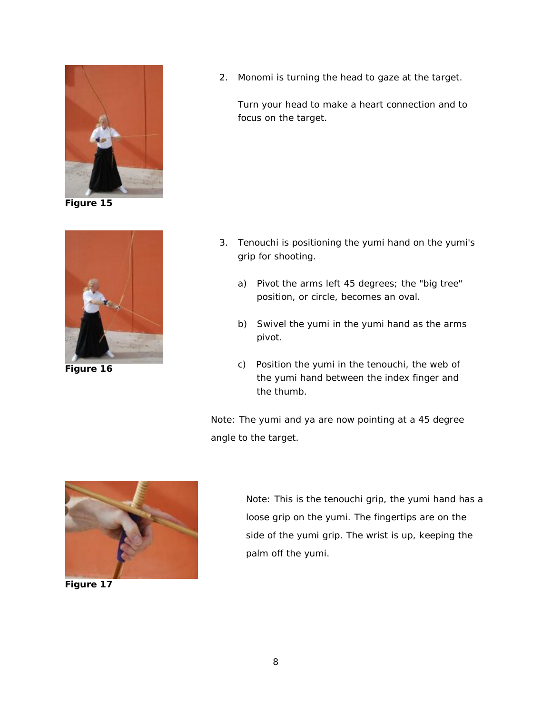

**Figure 15**



**Figure 16**

2. Monomi is turning the head to gaze at the target.

Turn your head to make a heart connection and to focus on the target.

- 3. Tenouchi is positioning the yumi hand on the yumi's grip for shooting.
	- a) Pivot the arms left 45 degrees; the "big tree" position, or circle, becomes an oval.
	- b) Swivel the yumi in the yumi hand as the arms pivot.
	- c) Position the yumi in the tenouchi, the web of the yumi hand between the index finger and the thumb.

Note: The yumi and ya are now pointing at a 45 degree angle to the target.

<span id="page-9-0"></span>

**Figure 17**

Note: This is the tenouchi grip, the yumi hand has a loose grip on the yumi. The fingertips are on the side of the yumi grip. The wrist is up, keeping the palm off the yumi.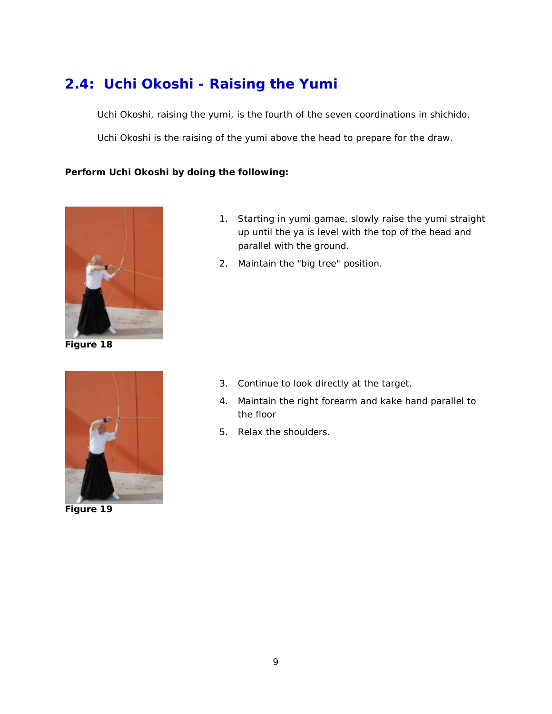## **2.4: Uchi Okoshi - Raising the Yumi**

Uchi Okoshi, raising the yumi, is the fourth of the seven coordinations in shichido.

Uchi Okoshi is the raising of the yumi above the head to prepare for the draw.

#### **Perform Uchi Okoshi by doing the following:**



**Figure 18**

<span id="page-10-0"></span>

**Figure 19**

- 1. Starting in yumi gamae, slowly raise the yumi straight up until the ya is level with the top of the head and parallel with the ground.
- 2. Maintain the "big tree" position.

- 3. Continue to look directly at the target.
- 4. Maintain the right forearm and kake hand parallel to the floor
- 5. Relax the shoulders.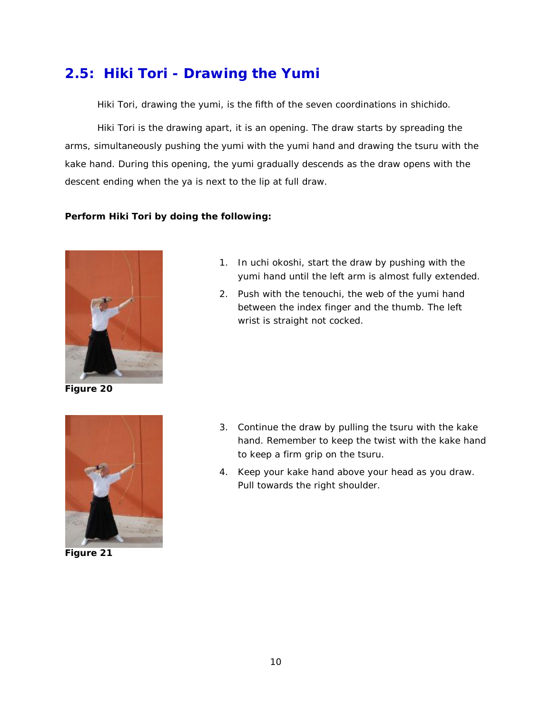## **2.5: Hiki Tori - Drawing the Yumi**

Hiki Tori, drawing the yumi, is the fifth of the seven coordinations in shichido.

Hiki Tori is the drawing apart, it is an opening. The draw starts by spreading the arms, simultaneously pushing the yumi with the yumi hand and drawing the tsuru with the kake hand. During this opening, the yumi gradually descends as the draw opens with the descent ending when the ya is next to the lip at full draw.

#### **Perform Hiki Tori by doing the following:**



**Figure 20**



**Figure 21**

- 1. In uchi okoshi, start the draw by pushing with the yumi hand until the left arm is almost fully extended.
- 2. Push with the tenouchi, the web of the yumi hand between the index finger and the thumb. The left wrist is straight not cocked.

- 3. Continue the draw by pulling the tsuru with the kake hand. Remember to keep the twist with the kake hand to keep a firm grip on the tsuru.
- 4. Keep your kake hand above your head as you draw. Pull towards the right shoulder.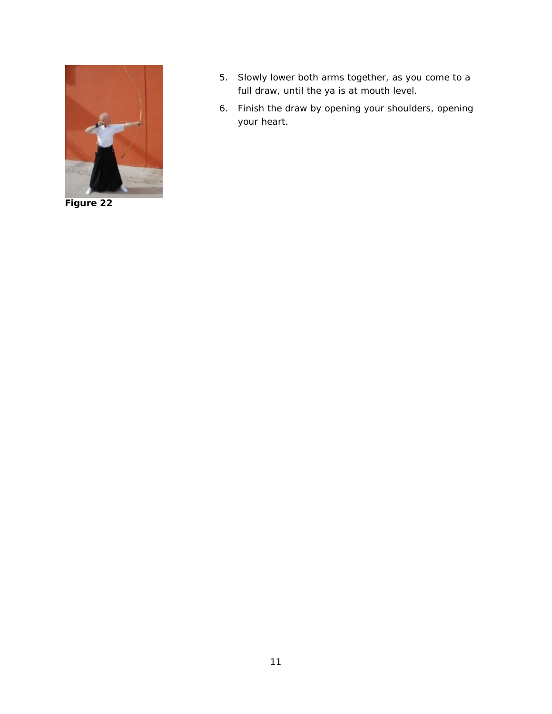<span id="page-12-0"></span>

**Figure 22**

- 5. Slowly lower both arms together, as you come to a full draw, until the ya is at mouth level.
- 6. Finish the draw by opening your shoulders, opening your heart.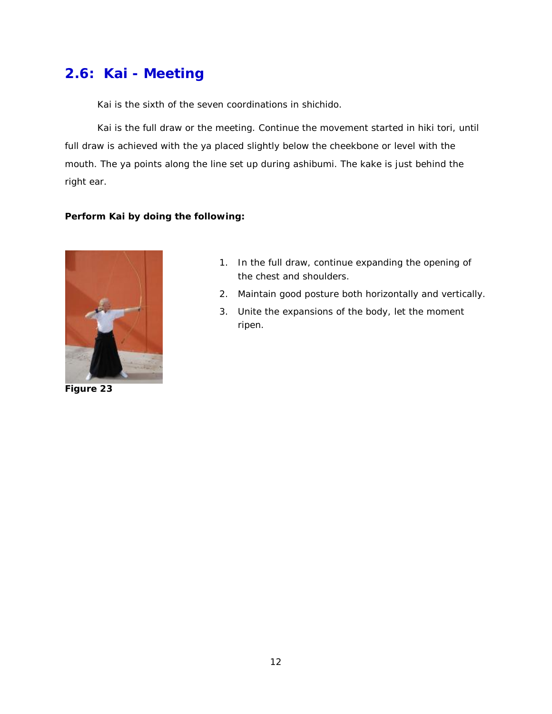## **2.6: Kai - Meeting**

Kai is the sixth of the seven coordinations in shichido.

Kai is the full draw or the meeting. Continue the movement started in hiki tori, until full draw is achieved with the ya placed slightly below the cheekbone or level with the mouth. The ya points along the line set up during ashibumi. The kake is just behind the right ear.

#### **Perform Kai by doing the following:**

<span id="page-13-0"></span>

**Figure 23**

- 1. In the full draw, continue expanding the opening of the chest and shoulders.
- 2. Maintain good posture both horizontally and vertically.
- 3. Unite the expansions of the body, let the moment ripen.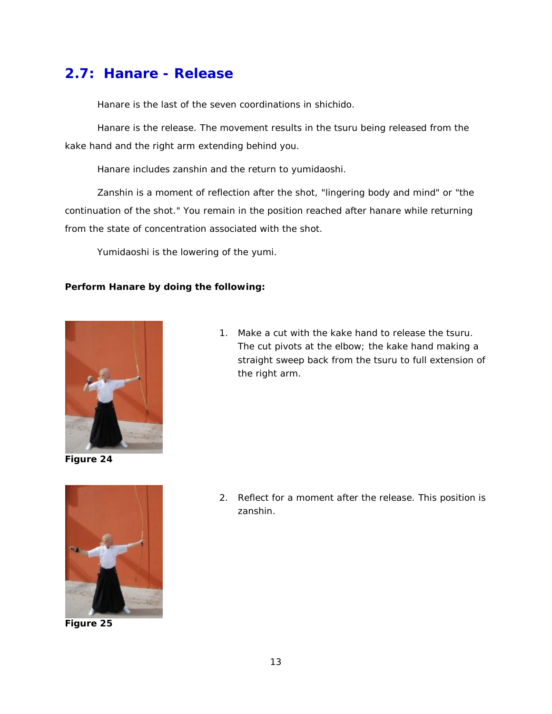## **2.7: Hanare - Release**

Hanare is the last of the seven coordinations in shichido.

Hanare is the release. The movement results in the tsuru being released from the kake hand and the right arm extending behind you.

Hanare includes zanshin and the return to yumidaoshi.

Zanshin is a moment of reflection after the shot, "lingering body and mind" or "the continuation of the shot." You remain in the position reached after hanare while returning from the state of concentration associated with the shot.

Yumidaoshi is the lowering of the yumi.

#### **Perform Hanare by doing the following:**



**Figure 24**

1. Make a cut with the kake hand to release the tsuru. The cut pivots at the elbow; the kake hand making a straight sweep back from the tsuru to full extension of the right arm.



**Figure 25**

2. Reflect for a moment after the release. This position is zanshin.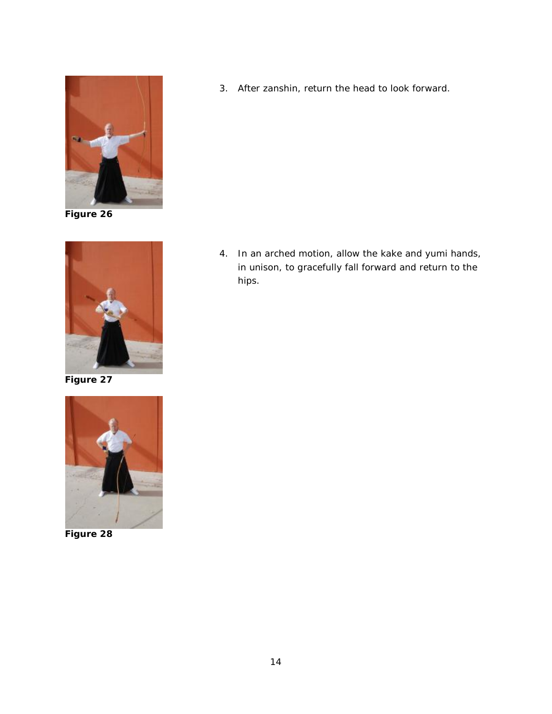

**Figure 26**



**Figure 27**



**Figure 28**

3. After zanshin, return the head to look forward.

4. In an arched motion, allow the kake and yumi hands, in unison, to gracefully fall forward and return to the hips.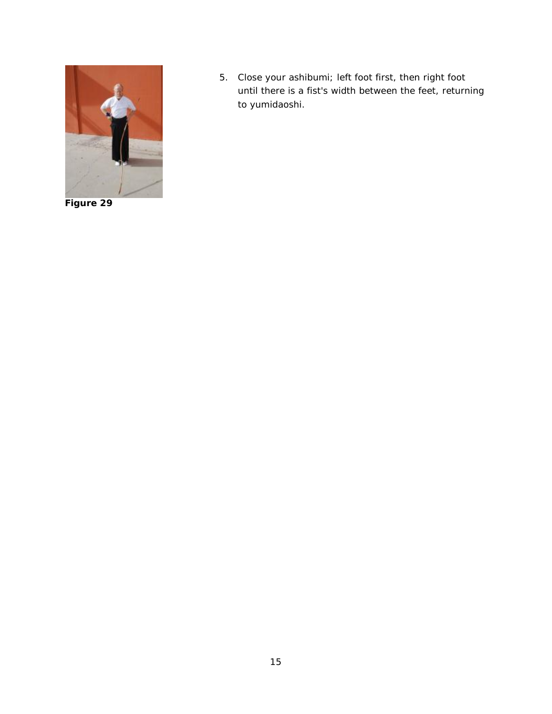

**Figure 29**

5. Close your ashibumi; left foot first, then right foot until there is a fist's width between the feet, returning to yumidaoshi.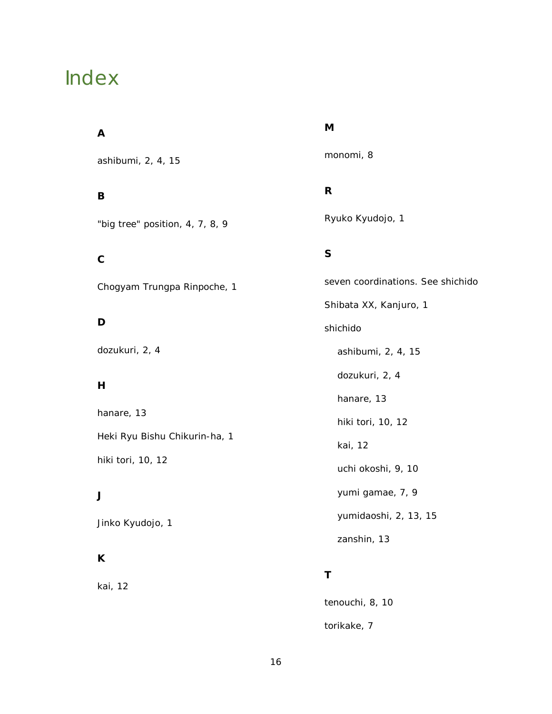## <span id="page-17-0"></span>Index

#### **A**

ashibumi, 2, 4, 15

#### **B**

"big tree" position, 4, 7, 8, 9

## **C**

Chogyam Trungpa Rinpoche, 1

### **D**

dozukuri, 2, 4

#### **H**

hanare, 13 Heki Ryu Bishu Chikurin-ha, 1 hiki tori, 10, 12

### **J**

Jinko Kyudojo, 1

### **K**

kai, 12

#### **M**

monomi, 8

### **R**

Ryuko Kyudojo, 1

### **S**

seven coordinations. *See* shichido Shibata XX, Kanjuro, 1 shichido ashibumi, 2, 4, 15 dozukuri, 2, 4 hanare, 13 hiki tori, 10, 12 kai, 12 uchi okoshi, 9, 10 yumi gamae, 7, 9 yumidaoshi, 2, 13, 15 zanshin, 13

## **T**

tenouchi, 8, 10 torikake, 7